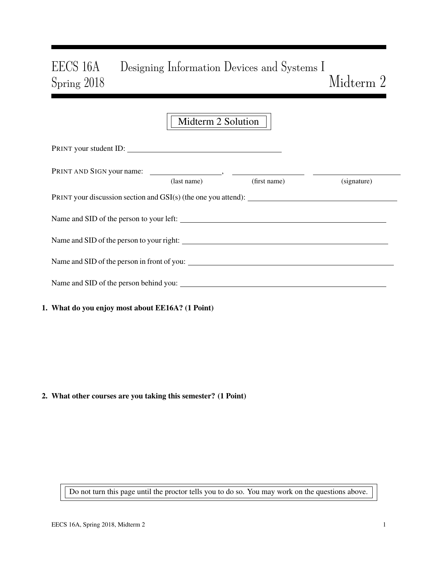# EECS 16A Designing Information Devices and Systems I Spring 2018 Midterm 2

# Midterm 2 Solution PRINT your student ID: PRINT AND SIGN your name: , (last name) (first name) (signature) PRINT your discussion section and GSI(s) (the one you attend): Name and SID of the person to your left: Name and SID of the person to your right: Name and SID of the person in front of you: Name and SID of the person behind you:

1. What do you enjoy most about EE16A? (1 Point)

2. What other courses are you taking this semester? (1 Point)

Do not turn this page until the proctor tells you to do so. You may work on the questions above.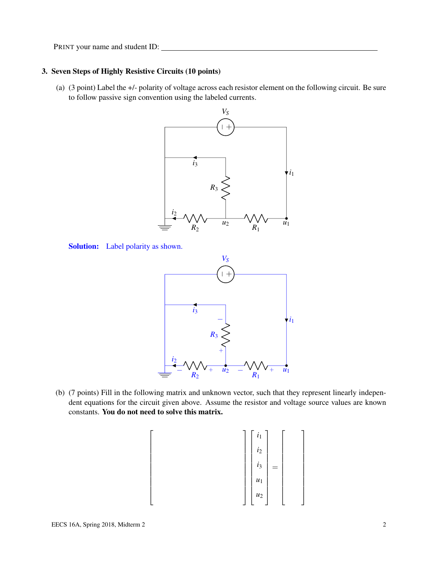# 3. Seven Steps of Highly Resistive Circuits (10 points)

(a) (3 point) Label the +/- polarity of voltage across each resistor element on the following circuit. Be sure to follow passive sign convention using the labeled currents.





 $\sqrt{ }$  $\overline{1}$  $\mathbf{I}$  $\overline{1}$  $\mathbf{I}$  $\overline{1}$  $\overline{1}$  $\frac{1}{2}$  $\overline{1}$  $\frac{1}{2}$  $\overline{1}$  $\overline{\phantom{a}}$ 



(b) (7 points) Fill in the following matrix and unknown vector, such that they represent linearly independent equations for the circuit given above. Assume the resistor and voltage source values are known constants. You do not need to solve this matrix.

 *i*1 *i*2 *i*3 *u*1 *u*2 =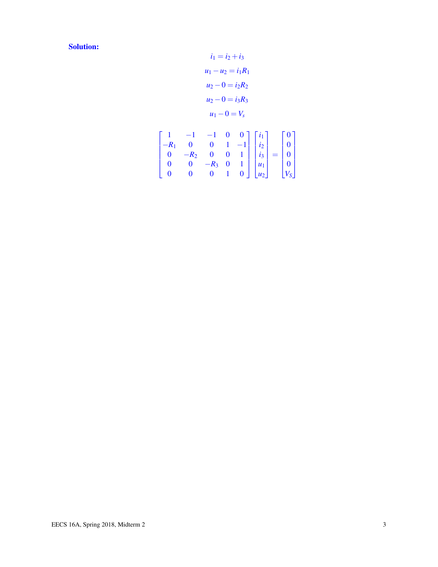Solution:

$$
i_1 = i_2 + i_3
$$
  
\n
$$
u_1 - u_2 = i_1 R_1
$$
  
\n
$$
u_2 - 0 = i_2 R_2
$$
  
\n
$$
u_2 - 0 = i_3 R_3
$$
  
\n
$$
u_1 - 0 = V_s
$$

$$
\begin{bmatrix} 1 & -1 & -1 & 0 & 0 \ -R_1 & 0 & 0 & 1 & -1 \ 0 & -R_2 & 0 & 0 & 1 \ 0 & 0 & -R_3 & 0 & 1 \ 0 & 0 & 0 & 1 & 0 \end{bmatrix} \begin{bmatrix} i_1 \ i_2 \ i_3 \ u_1 \ u_1 \ u_2 \end{bmatrix} = \begin{bmatrix} 0 \ 0 \ 0 \ 0 \ 0 \ 0 \ y_5 \end{bmatrix}
$$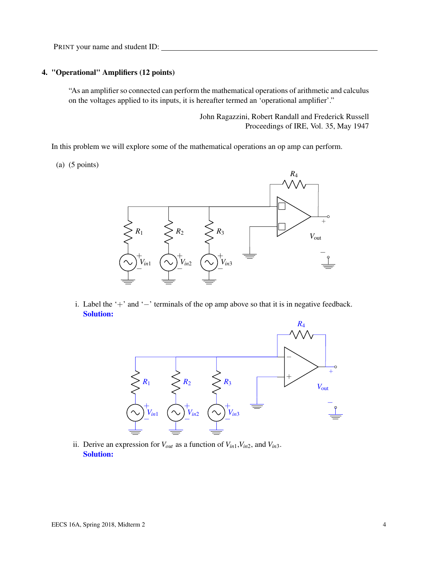# 4. "Operational" Amplifiers (12 points)

"As an amplifier so connected can perform the mathematical operations of arithmetic and calculus on the voltages applied to its inputs, it is hereafter termed an 'operational amplifier'."

> John Ragazzini, Robert Randall and Frederick Russell Proceedings of IRE, Vol. 35, May 1947

In this problem we will explore some of the mathematical operations an op amp can perform.

(a) (5 points)



i. Label the '+' and '−' terminals of the op amp above so that it is in negative feedback. Solution:



ii. Derive an expression for  $V_{out}$  as a function of  $V_{in1}$ ,  $V_{in2}$ , and  $V_{in3}$ . Solution: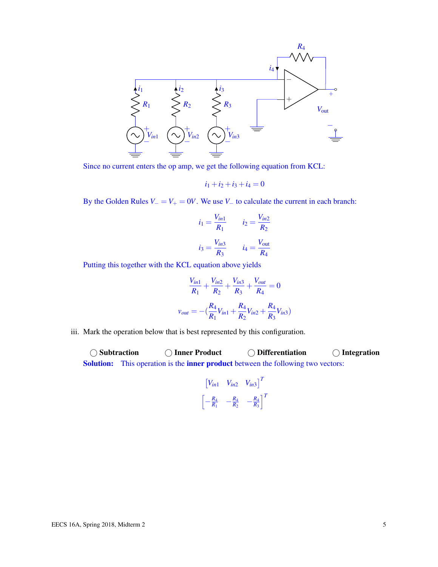

Since no current enters the op amp, we get the following equation from KCL:

$$
i_1 + i_2 + i_3 + i_4 = 0
$$

By the Golden Rules  $V = V_+ = 0V$ . We use  $V_$  to calculate the current in each branch:

$$
i_1 = \frac{V_{in1}}{R_1} \qquad i_2 = \frac{V_{in2}}{R_2}
$$

$$
i_3 = \frac{V_{in3}}{R_3} \qquad i_4 = \frac{V_{out}}{R_4}
$$

Putting this together with the KCL equation above yields

$$
\frac{V_{in1}}{R_1} + \frac{V_{in2}}{R_2} + \frac{V_{in3}}{R_3} + \frac{V_{out}}{R_4} = 0
$$
  

$$
v_{out} = -\left(\frac{R_4}{R_1}V_{in1} + \frac{R_4}{R_2}V_{in2} + \frac{R_4}{R_3}V_{in3}\right)
$$

iii. Mark the operation below that is best represented by this configuration.

○ Subtraction ● ○ Inner Product ● ○ Differentiation ● ○ Integration Solution: This operation is the inner product between the following two vectors:

$$
\begin{bmatrix} V_{in1} & V_{in2} & V_{in3} \end{bmatrix}^T
$$

$$
\begin{bmatrix} -\frac{R_4}{R_1} & -\frac{R_4}{R_2} & -\frac{R_4}{R_3} \end{bmatrix}^T
$$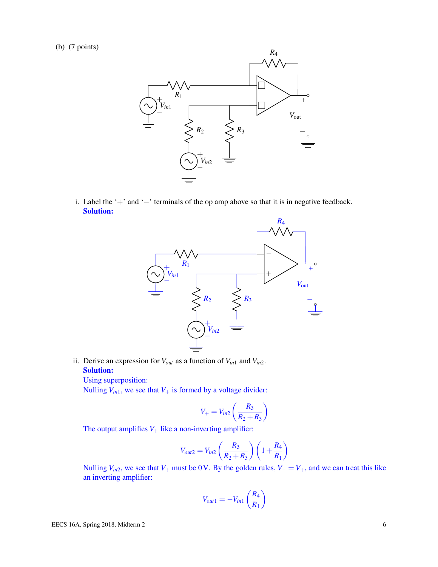(b) (7 points)



i. Label the '+' and '−' terminals of the op amp above so that it is in negative feedback. Solution:



ii. Derive an expression for  $V_{out}$  as a function of  $V_{in1}$  and  $V_{in2}$ . Solution:

Using superposition:

Nulling  $V_{in1}$ , we see that  $V_+$  is formed by a voltage divider:

$$
V_{+}=V_{in2}\left(\frac{R_{3}}{R_{2}+R_{3}}\right)
$$

The output amplifies  $V_+$  like a non-inverting amplifier:

$$
V_{out2} = V_{in2} \left(\frac{R_3}{R_2 + R_3}\right) \left(1 + \frac{R_4}{R_1}\right)
$$

Nulling  $V_{in2}$ , we see that  $V_+$  must be 0 V. By the golden rules,  $V_ - = V_+$ , and we can treat this like an inverting amplifier:

$$
V_{out1} = -V_{in1} \left(\frac{R_4}{R_1}\right)
$$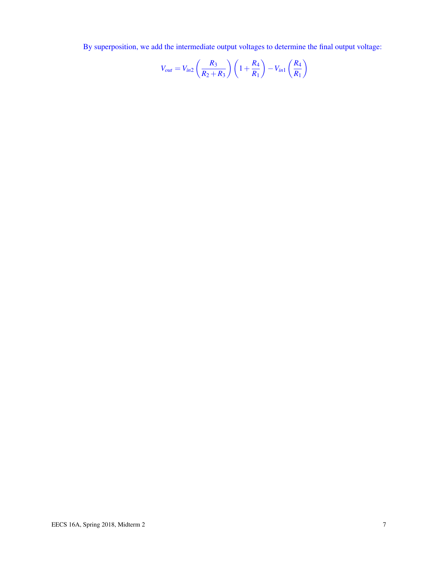By superposition, we add the intermediate output voltages to determine the final output voltage:

$$
V_{out} = V_{in2} \left(\frac{R_3}{R_2 + R_3}\right) \left(1 + \frac{R_4}{R_1}\right) - V_{in1} \left(\frac{R_4}{R_1}\right)
$$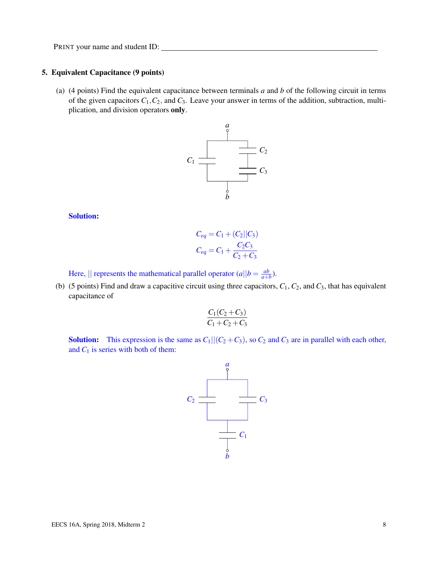#### 5. Equivalent Capacitance (9 points)

(a) (4 points) Find the equivalent capacitance between terminals *a* and *b* of the following circuit in terms of the given capacitors  $C_1$ ,  $C_2$ , and  $C_3$ . Leave your answer in terms of the addition, subtraction, multiplication, and division operators only.



#### Solution:

$$
C_{eq} = C_1 + (C_2 || C_3)
$$
  
\n
$$
C_{eq} = C_1 + \frac{C_2 C_3}{C_2 + C_3}
$$

Here,  $\parallel$  represents the mathematical parallel operator  $(a||b = \frac{ab}{a+b}$  $\frac{ab}{a+b}$ ).

(b) (5 points) Find and draw a capacitive circuit using three capacitors,  $C_1$ ,  $C_2$ , and  $C_3$ , that has equivalent capacitance of

$$
\frac{C_1(C_2+C_3)}{C_1+C_2+C_3}
$$

**Solution:** This expression is the same as  $C_1||(C_2+C_3)$ , so  $C_2$  and  $C_3$  are in parallel with each other, and  $C_1$  is series with both of them:

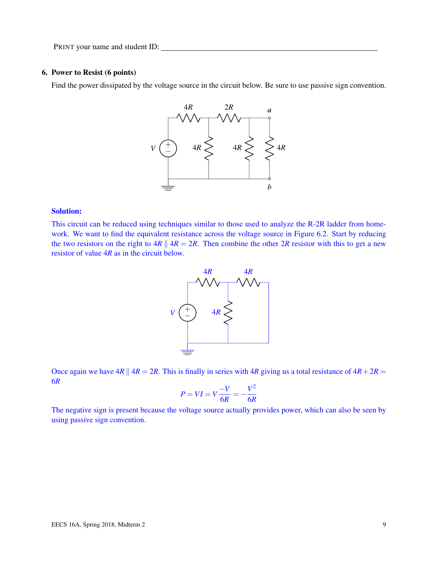## 6. Power to Resist (6 points)

Find the power dissipated by the voltage source in the circuit below. Be sure to use passive sign convention.



#### Solution:

This circuit can be reduced using techniques similar to those used to analyze the R-2R ladder from homework. We want to find the equivalent resistance across the voltage source in Figure 6.2. Start by reducing the two resistors on the right to  $4R \parallel 4R = 2R$ . Then combine the other  $2R$  resistor with this to get a new resistor of value 4*R* as in the circuit below.



Once again we have  $4R \parallel 4R = 2R$ . This is finally in series with  $4R$  giving us a total resistance of  $4R + 2R =$ 6*R*

$$
P = VI = V\frac{-V}{6R} = -\frac{V^2}{6R}
$$

The negative sign is present because the voltage source actually provides power, which can also be seen by using passive sign convention.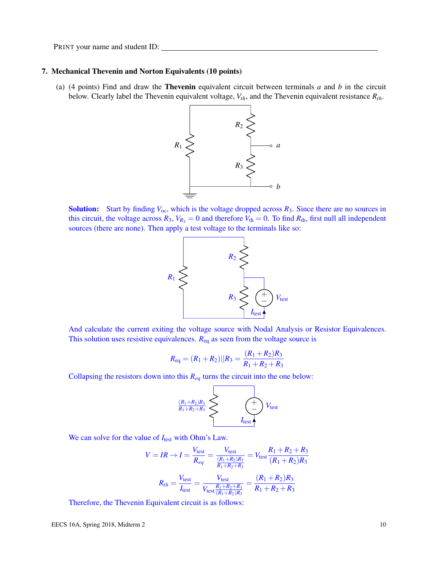#### 7. Mechanical Thevenin and Norton Equivalents (10 points)

(a) (4 points) Find and draw the Thevenin equivalent circuit between terminals *a* and *b* in the circuit below. Clearly label the Thevenin equivalent voltage, *Vth*, and the Thevenin equivalent resistance *Rth*.



**Solution:** Start by finding  $V_{oc}$ , which is the voltage dropped across  $R_3$ . Since there are no sources in this circuit, the voltage across  $R_3$ ,  $V_{R_3} = 0$  and therefore  $V_{th} = 0$ . To find  $R_{th}$ , first null all independent sources (there are none). Then apply a test voltage to the terminals like so:



And calculate the current exiting the voltage source with Nodal Analysis or Resistor Equivalences. This solution uses resistive equivalences.  $R_{eq}$  as seen from the voltage source is

$$
R_{\text{eq}} = (R_1 + R_2)||R_3 = \frac{(R_1 + R_2)R_3}{R_1 + R_2 + R_3}
$$

Collapsing the resistors down into this *Req* turns the circuit into the one below:

$$
\begin{array}{c}\n\left.\frac{(R_1+R_2)R_3}{R_1+R_2+R_3}\right\}\n\longrightarrow\n\end{array}\n\longrightarrow\n\begin{array}{c}\n\left.\begin{array}{c}\n\hline\n\hline\n\end{array}\right\}V_{\text{test}}\n\end{array}
$$

We can solve for the value of  $I_{\text{test}}$  with Ohm's Law.

$$
V = IR \rightarrow I = \frac{V_{\text{test}}}{R_{eq}} = \frac{V_{\text{test}}}{\frac{(R_1 + R_2)R_3}{R_1 + R_2 + R_3}} = V_{\text{test}} \frac{R_1 + R_2 + R_3}{(R_1 + R_2)R_3}
$$

$$
R_{th} = \frac{V_{\text{test}}}{I_{\text{test}}} = \frac{V_{\text{test}}}{V_{\text{test}} \frac{R_1 + R_2 + R_3}{(R_1 + R_2)R_3}} = \frac{(R_1 + R_2)R_3}{R_1 + R_2 + R_3}
$$

Therefore, the Thevenin Equivalent circuit is as follows: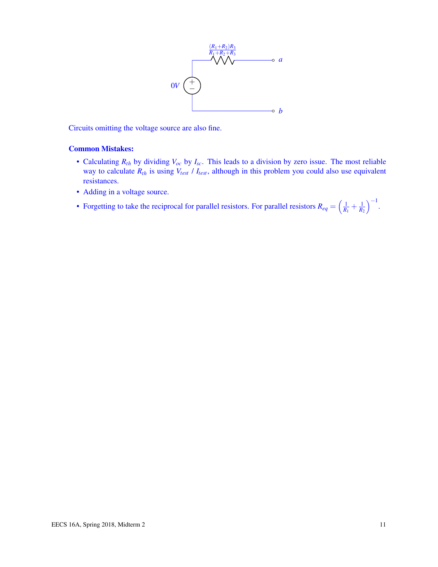

Circuits omitting the voltage source are also fine.

# Common Mistakes:

- Calculating *Rth* by dividing *Voc* by *Isc*. This leads to a division by zero issue. The most reliable way to calculate  $R_{th}$  is using  $V_{test}$  /  $I_{test}$ , although in this problem you could also use equivalent resistances.
- Adding in a voltage source.
- Forgetting to take the reciprocal for parallel resistors. For parallel resistors  $R_{eq} = \left(\frac{1}{R_1} + \frac{1}{R_2}\right)$  $\Big)^{-1}.$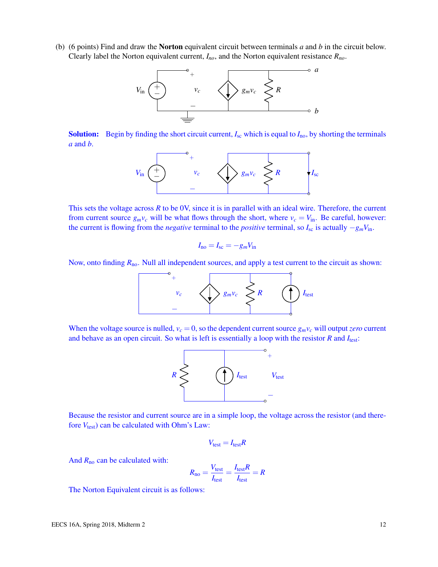(b) (6 points) Find and draw the Norton equivalent circuit between terminals *a* and *b* in the circuit below. Clearly label the Norton equivalent current, *Ino*, and the Norton equivalent resistance *Rno*.



**Solution:** Begin by finding the short circuit current,  $I_{\rm sc}$  which is equal to  $I_{\rm no}$ , by shorting the terminals *a* and *b*.



This sets the voltage across  $R$  to be  $0V$ , since it is in parallel with an ideal wire. Therefore, the current from current source  $g_m v_c$  will be what flows through the short, where  $v_c = V_{in}$ . Be careful, however: the current is flowing from the *negative* terminal to the *positive* terminal, so  $I_{sc}$  is actually  $-g_mV_{in}$ .

$$
I_{\rm no}=I_{\rm sc}=-g_mV_{\rm in}
$$

Now, onto finding  $R_{\text{no}}$ . Null all independent sources, and apply a test current to the circuit as shown:



When the voltage source is nulled,  $v_c = 0$ , so the dependent current source  $g_m v_c$  will output *zero* current and behave as an open circuit. So what is left is essentially a loop with the resistor *R* and *I*test:



Because the resistor and current source are in a simple loop, the voltage across the resistor (and therefore  $V_{\text{test}}$ ) can be calculated with Ohm's Law:

$$
V_{\text{test}} = I_{\text{test}}R
$$

And *R*no can be calculated with:

$$
R_{\text{no}} = \frac{V_{\text{test}}}{I_{\text{test}}} = \frac{I_{\text{test}}R}{I_{\text{test}}} = R
$$

The Norton Equivalent circuit is as follows: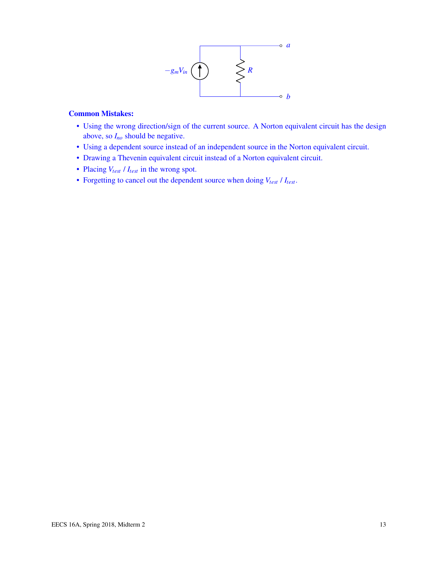

# Common Mistakes:

- Using the wrong direction/sign of the current source. A Norton equivalent circuit has the design above, so *Ino* should be negative.
- Using a dependent source instead of an independent source in the Norton equivalent circuit.
- Drawing a Thevenin equivalent circuit instead of a Norton equivalent circuit.
- Placing *Vtest* / *Itest* in the wrong spot.
- Forgetting to cancel out the dependent source when doing *Vtest* / *Itest*.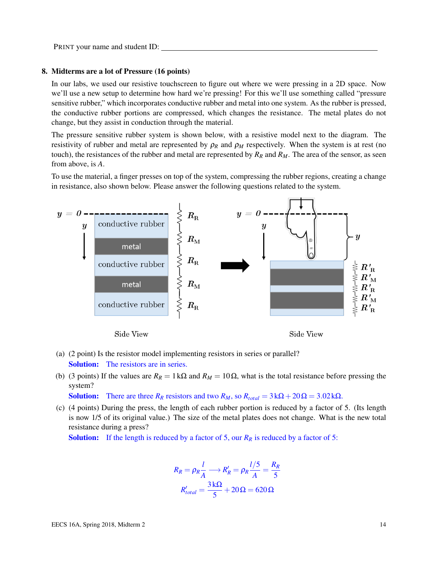#### 8. Midterms are a lot of Pressure (16 points)

In our labs, we used our resistive touchscreen to figure out where we were pressing in a 2D space. Now we'll use a new setup to determine how hard we're pressing! For this we'll use something called "pressure sensitive rubber," which incorporates conductive rubber and metal into one system. As the rubber is pressed, the conductive rubber portions are compressed, which changes the resistance. The metal plates do not change, but they assist in conduction through the material.

The pressure sensitive rubber system is shown below, with a resistive model next to the diagram. The resistivity of rubber and metal are represented by  $\rho_R$  and  $\rho_M$  respectively. When the system is at rest (no touch), the resistances of the rubber and metal are represented by  $R_R$  and  $R_M$ . The area of the sensor, as seen from above, is *A*.

To use the material, a finger presses on top of the system, compressing the rubber regions, creating a change in resistance, also shown below. Please answer the following questions related to the system.



- (a) (2 point) Is the resistor model implementing resistors in series or parallel? Solution: The resistors are in series.
- (b) (3 points) If the values are  $R_R = 1 \text{ k}\Omega$  and  $R_M = 10 \Omega$ , what is the total resistance before pressing the system?

Solution: There are three  $R_R$  resistors and two  $R_M$ , so  $R_{total} = 3 \text{ k}\Omega + 20 \Omega = 3.02 \text{ k}\Omega$ .

(c) (4 points) During the press, the length of each rubber portion is reduced by a factor of 5. (Its length is now 1/5 of its original value.) The size of the metal plates does not change. What is the new total resistance during a press?

**Solution:** If the length is reduced by a factor of 5, our  $R_R$  is reduced by a factor of 5:

$$
R_R = \rho_R \frac{l}{A} \longrightarrow R'_R = \rho_R \frac{l/5}{A} = \frac{R_R}{5}
$$

$$
R'_{total} = \frac{3 \, \text{k}\Omega}{5} + 20 \, \Omega = 620 \, \Omega
$$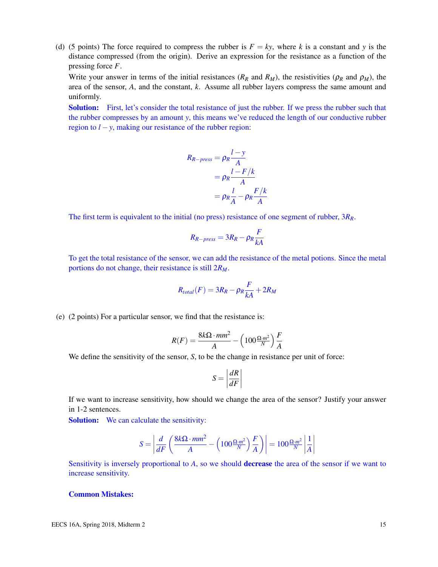(d) (5 points) The force required to compress the rubber is  $F = ky$ , where *k* is a constant and *y* is the distance compressed (from the origin). Derive an expression for the resistance as a function of the pressing force *F*.

Write your answer in terms of the initial resistances ( $R_R$  and  $R_M$ ), the resistivities ( $\rho_R$  and  $\rho_M$ ), the area of the sensor, *A*, and the constant, *k*. Assume all rubber layers compress the same amount and uniformly.

**Solution:** First, let's consider the total resistance of just the rubber. If we press the rubber such that the rubber compresses by an amount *y*, this means we've reduced the length of our conductive rubber region to  $l - y$ , making our resistance of the rubber region:

$$
R_{R-press} = \rho_R \frac{l-y}{A}
$$
  
=  $\rho_R \frac{l-F/k}{A}$   
=  $\rho_R \frac{l}{A} - \rho_R \frac{F/k}{A}$ 

The first term is equivalent to the initial (no press) resistance of one segment of rubber, 3*RR*.

$$
R_{R-press} = 3R_R - \rho_R \frac{F}{kA}
$$

To get the total resistance of the sensor, we can add the resistance of the metal potions. Since the metal portions do not change, their resistance is still 2*RM*.

$$
R_{total}(F) = 3R_R - \rho_R \frac{F}{kA} + 2R_M
$$

(e) (2 points) For a particular sensor, we find that the resistance is:

$$
R(F) = \frac{8k\Omega \cdot mm^2}{A} - \left(100\frac{\Omega \cdot m^2}{N}\right)\frac{F}{A}
$$

We define the sensitivity of the sensor, *S*, to be the change in resistance per unit of force:

$$
S = \left| \frac{dR}{dF} \right|
$$

If we want to increase sensitivity, how should we change the area of the sensor? Justify your answer in 1-2 sentences.

Solution: We can calculate the sensitivity:

$$
S = \left| \frac{d}{dF} \left( \frac{8k\Omega \cdot mm^2}{A} - \left( 100 \frac{\Omega \cdot m^2}{N} \right) \frac{F}{A} \right) \right| = 100 \frac{\Omega \cdot m^2}{N} \left| \frac{1}{A} \right|
$$

Sensitivity is inversely proportional to *A*, so we should decrease the area of the sensor if we want to increase sensitivity.

#### Common Mistakes: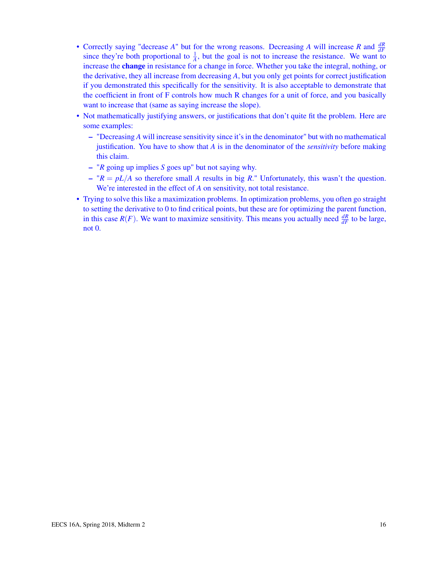- Correctly saying "decrease  $A$ " but for the wrong reasons. Decreasing  $A$  will increase  $R$  and  $\frac{dR}{dF}$ since they're both proportional to  $\frac{1}{A}$ , but the goal is not to increase the resistance. We want to increase the change in resistance for a change in force. Whether you take the integral, nothing, or the derivative, they all increase from decreasing *A*, but you only get points for correct justification if you demonstrated this specifically for the sensitivity. It is also acceptable to demonstrate that the coefficient in front of F controls how much R changes for a unit of force, and you basically want to increase that (same as saying increase the slope).
- Not mathematically justifying answers, or justifications that don't quite fit the problem. Here are some examples:
	- "Decreasing *A* will increase sensitivity since it's in the denominator" but with no mathematical justification. You have to show that *A* is in the denominator of the *sensitivity* before making this claim.
	- "*R* going up implies *S* goes up" but not saying why.
	- $-$  " $R = pL/A$  so therefore small A results in big R." Unfortunately, this wasn't the question. We're interested in the effect of *A* on sensitivity, not total resistance.
- Trying to solve this like a maximization problems. In optimization problems, you often go straight to setting the derivative to 0 to find critical points, but these are for optimizing the parent function, in this case  $R(F)$ . We want to maximize sensitivity. This means you actually need  $\frac{dR}{dF}$  to be large, not 0.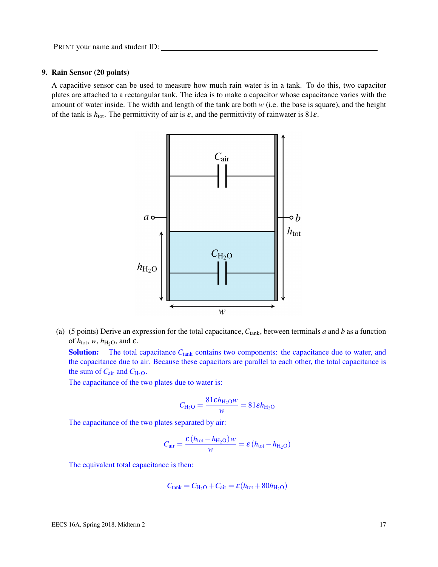# 9. Rain Sensor (20 points)

A capacitive sensor can be used to measure how much rain water is in a tank. To do this, two capacitor plates are attached to a rectangular tank. The idea is to make a capacitor whose capacitance varies with the amount of water inside. The width and length of the tank are both *w* (i.e. the base is square), and the height of the tank is  $h_{\text{tot}}$ . The permittivity of air is  $\varepsilon$ , and the permittivity of rainwater is 81 $\varepsilon$ .



(a) (5 points) Derive an expression for the total capacitance,  $C_{\text{tank}}$ , between terminals *a* and *b* as a function of  $h_{\text{tot}}$ ,  $w$ ,  $h_{\text{H}_2\text{O}}$ , and  $\varepsilon$ .

**Solution:** The total capacitance  $C_{\text{tank}}$  contains two components: the capacitance due to water, and the capacitance due to air. Because these capacitors are parallel to each other, the total capacitance is the sum of  $C_{\text{air}}$  and  $C_{\text{H}_2\text{O}}$ .

The capacitance of the two plates due to water is:

$$
C_{\text{H}_2\text{O}} = \frac{81 \varepsilon h_{\text{H}_2\text{O}} w}{w} = 81 \varepsilon h_{\text{H}_2\text{O}}
$$

The capacitance of the two plates separated by air:

$$
C_{\text{air}} = \frac{\varepsilon (h_{\text{tot}} - h_{\text{H}_2\text{O}}) w}{w} = \varepsilon (h_{\text{tot}} - h_{\text{H}_2\text{O}})
$$

The equivalent total capacitance is then:

$$
C_{\text{tank}} = C_{\text{H}_2\text{O}} + C_{\text{air}} = \varepsilon (h_{\text{tot}} + 80h_{\text{H}_2\text{O}})
$$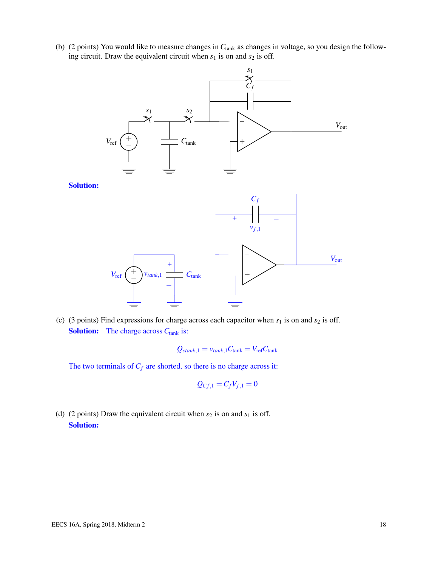(b) (2 points) You would like to measure changes in *C*tank as changes in voltage, so you design the following circuit. Draw the equivalent circuit when  $s_1$  is on and  $s_2$  is off.



(c) (3 points) Find expressions for charge across each capacitor when  $s_1$  is on and  $s_2$  is off. Solution: The charge across  $C_{\text{tank}}$  is:

$$
Q_{ctank,1} = v_{tank,1}C_{tank} = V_{ref}C_{tank}
$$

The two terminals of  $C_f$  are shorted, so there is no charge across it:

$$
Q_{Cf,1}=C_fV_{f,1}=0
$$

(d) (2 points) Draw the equivalent circuit when  $s_2$  is on and  $s_1$  is off. Solution: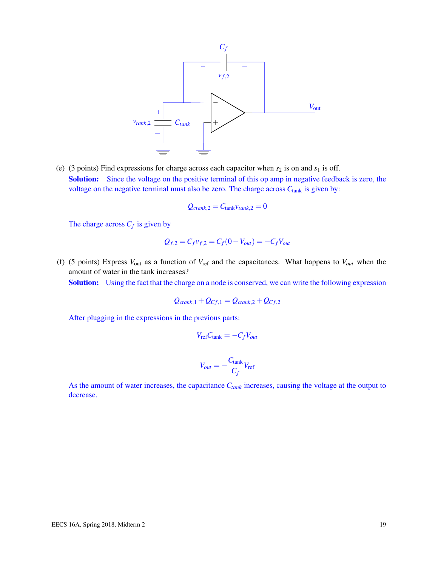

(e) (3 points) Find expressions for charge across each capacitor when  $s_2$  is on and  $s_1$  is off. Solution: Since the voltage on the positive terminal of this op amp in negative feedback is zero, the voltage on the negative terminal must also be zero. The charge across  $C_{\text{tank}}$  is given by:

$$
Q_{ctank,2} = C_{\text{tank}} v_{tank,2} = 0
$$

The charge across  $C_f$  is given by

$$
Q_{f,2} = C_f v_{f,2} = C_f (0 - V_{out}) = -C_f V_{out}
$$

(f) (5 points) Express *V*out as a function of *V*ref and the capacitances. What happens to *Vout* when the amount of water in the tank increases?

Solution: Using the fact that the charge on a node is conserved, we can write the following expression

$$
Q_{ctank,1} + Q_{Cf,1} = Q_{ctank,2} + Q_{Cf,2}
$$

After plugging in the expressions in the previous parts:

$$
V_{\rm ref}C_{\rm tank} = -C_f V_{out}
$$

$$
V_{out} = -\frac{C_{\text{tank}}}{C_f} V_{\text{ref}}
$$

As the amount of water increases, the capacitance *Ctank* increases, causing the voltage at the output to decrease.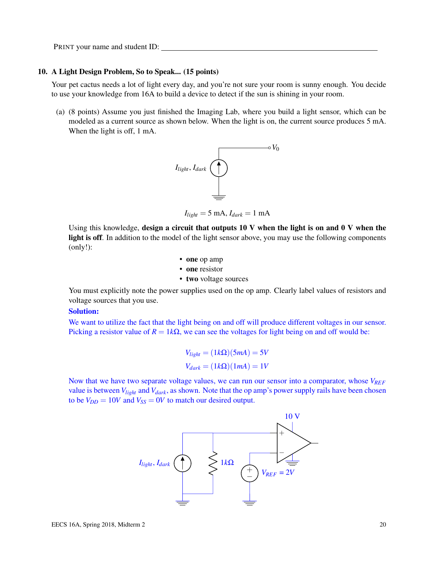#### 10. A Light Design Problem, So to Speak... (15 points)

Your pet cactus needs a lot of light every day, and you're not sure your room is sunny enough. You decide to use your knowledge from 16A to build a device to detect if the sun is shining in your room.

(a) (8 points) Assume you just finished the Imaging Lab, where you build a light sensor, which can be modeled as a current source as shown below. When the light is on, the current source produces 5 mA. When the light is off, 1 mA.



 $I_{light} = 5 \text{ mA}$ ,  $I_{dark} = 1 \text{ mA}$ 

Using this knowledge, design a circuit that outputs  $10 \text{ V}$  when the light is on and  $0 \text{ V}$  when the light is off. In addition to the model of the light sensor above, you may use the following components (only!):

- one op amp
- one resistor
- two voltage sources

You must explicitly note the power supplies used on the op amp. Clearly label values of resistors and voltage sources that you use.

### Solution:

We want to utilize the fact that the light being on and off will produce different voltages in our sensor. Picking a resistor value of  $R = 1k\Omega$ , we can see the voltages for light being on and off would be:

$$
V_{light} = (1k\Omega)(5mA) = 5V
$$
  

$$
V_{dark} = (1k\Omega)(1mA) = 1V
$$

Now that we have two separate voltage values, we can run our sensor into a comparator, whose *VREF* value is between *Vlight* and *Vdark*, as shown. Note that the op amp's power supply rails have been chosen to be  $V_{DD} = 10V$  and  $V_{SS} = 0V$  to match our desired output.

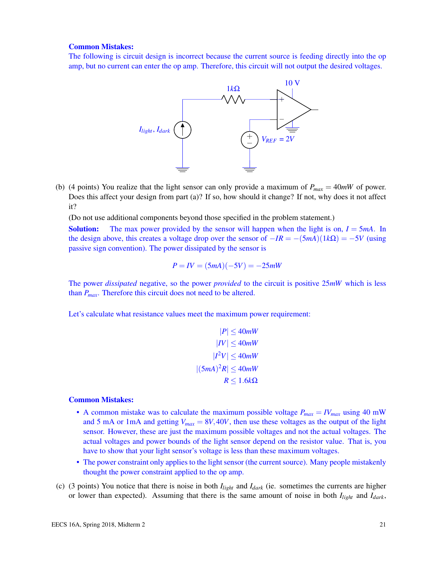## Common Mistakes:

The following is circuit design is incorrect because the current source is feeding directly into the op amp, but no current can enter the op amp. Therefore, this circuit will not output the desired voltages.



(b) (4 points) You realize that the light sensor can only provide a maximum of  $P_{max} = 40mW$  of power. Does this affect your design from part (a)? If so, how should it change? If not, why does it not affect it?

(Do not use additional components beyond those specified in the problem statement.)

**Solution:** The max power provided by the sensor will happen when the light is on,  $I = 5mA$ . In the design above, this creates a voltage drop over the sensor of  $-IR = -(5mA)(1k\Omega) = -5V$  (using passive sign convention). The power dissipated by the sensor is

$$
P = IV = (5mA)(-5V) = -25mW
$$

The power *dissipated* negative, so the power *provided* to the circuit is positive 25*mW* which is less than *Pmax*. Therefore this circuit does not need to be altered.

Let's calculate what resistance values meet the maximum power requirement:

$$
|P| \le 40mW
$$
  
\n
$$
|IV| \le 40mW
$$
  
\n
$$
|I^2V| \le 40mW
$$
  
\n
$$
|(5mA)^2R| \le 40mW
$$
  
\n
$$
R \le 1.6k\Omega
$$

### Common Mistakes:

- A common mistake was to calculate the maximum possible voltage  $P_{max} = IV_{max}$  using 40 mW and 5 mA or 1mA and getting  $V_{max} = 8V,40V$ , then use these voltages as the output of the light sensor. However, these are just the maximum possible voltages and not the actual voltages. The actual voltages and power bounds of the light sensor depend on the resistor value. That is, you have to show that your light sensor's voltage is less than these maximum voltages.
- The power constraint only applies to the light sensor (the current source). Many people mistakenly thought the power constraint applied to the op amp.
- (c) (3 points) You notice that there is noise in both  $I_{light}$  and  $I_{dark}$  (ie. sometimes the currents are higher or lower than expected). Assuming that there is the same amount of noise in both *Ilight* and *Idark*,